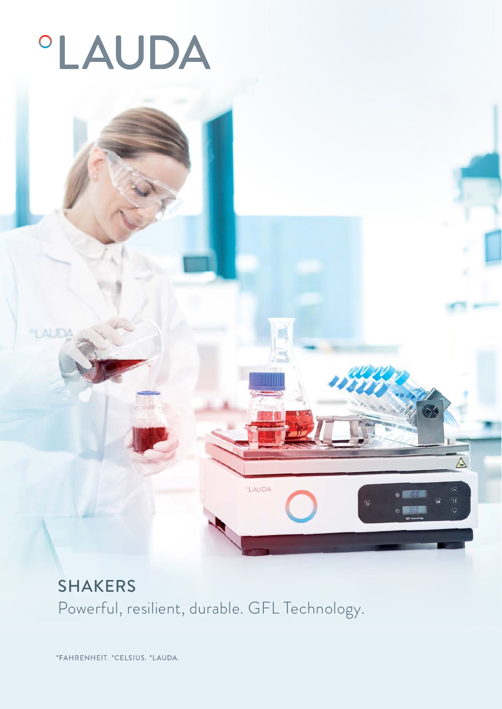# **°LAUDA**

°LAUDA



LAUDA

 $\triangle$ 

*°FAHRENHEIT. °CELSIUS. °LAUDA.*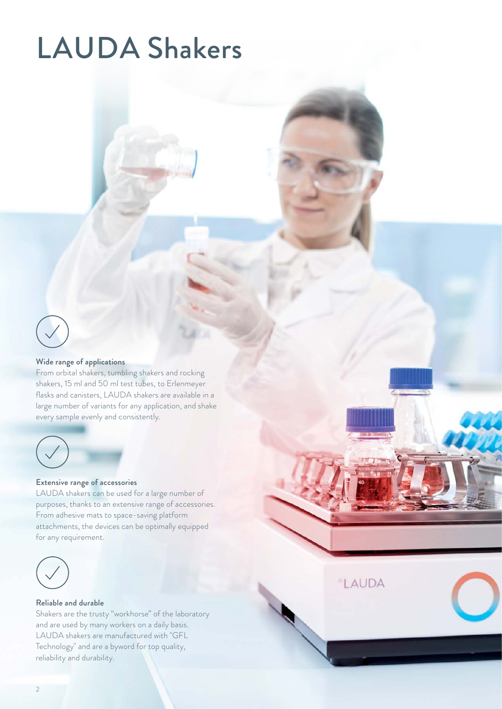## LAUDA Shakers



#### Wide range of applications

From orbital shakers, tumbling shakers and rocking shakers, 15 ml and 50 ml test tubes, to Erlenmeyer flasks and canisters, LAUDA shakers are available in a large number of variants for any application, and shake every sample evenly and consistently.



#### Extensive range of accessories

LAUDA shakers can be used for a large number of purposes, thanks to an extensive range of accessories. From adhesive mats to space-saving platform attachments, the devices can be optimally equipped for any requirement.



#### Reliable and durable

Shakers are the trusty "workhorse" of the laboratory and are used by many workers on a daily basis. LAUDA shakers are manufactured with "GFL Technology" and are a byword for top quality, reliability and durability.

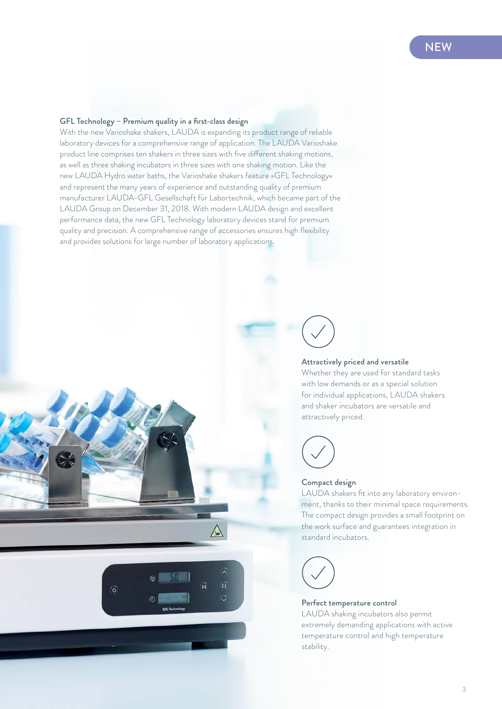#### **NFW**

#### GFL Technology – Premium quality in a first-class design

With the new Varioshake shakers, LAUDA is expanding its product range of reliable laboratory devices for a comprehensive range of application. The LAUDA Varioshake product line comprises ten shakers in three sizes with five different shaking motions, as well as three shaking incubators in three sizes with one shaking motion. Like the new LAUDA Hydro water baths, the Varioshake shakers feature »GFL Technology« and represent the many years of experience and outstanding quality of premium manufacturer LAUDA-GFL Gesellschaft für Labortechnik, which became part of the LAUDA Group on December 31, 2018. With modern LAUDA design and excellent performance data, the new GFL Technology laboratory devices stand for premium quality and precision. A comprehensive range of accessories ensures high flexibility and provides solutions for large number of laboratory applications.



#### Attractively priced and versatile

Whether they are used for standard tasks with low demands or as a special solution for individual applications, LAUDA shakers and shaker incubators are versatile and attractively priced.



#### Compact design

LAUDA shakers fit into any laboratory environment, thanks to their minimal space requirements. The compact design provides a small footprint on the work surface and guarantees integration in standard incubators.



 $\overrightarrow{0}$ 

ි

#### Perfect temperature control

LAUDA shaking incubators also permit extremely demanding applications with active temperature control and high temperature stability.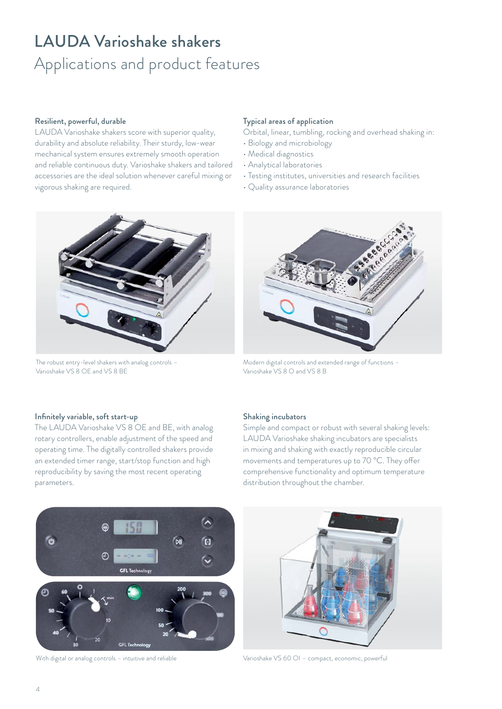## LAUDA Varioshake shakers Applications and product features

#### Resilient, powerful, durable

LAUDA Varioshake shakers score with superior quality, durability and absolute reliability. Their sturdy, low-wear mechanical system ensures extremely smooth operation and reliable continuous duty. Varioshake shakers and tailored accessories are the ideal solution whenever careful mixing or vigorous shaking are required.

#### Typical areas of application

Orbital, linear, tumbling, rocking and overhead shaking in:

- Biology and microbiology
- Medical diagnostics
- Analytical laboratories
- Testing institutes, universities and research facilities
- Quality assurance laboratories



The robust entry-level shakers with analog controls – Varioshake VS 8 OE and VS 8 BE



Modern digital controls and extended range of functions – Varioshake VS 8 O and VS 8 B

#### Infinitely variable, soft start-up

The LAUDA Varioshake VS 8 OE and BE, with analog rotary controllers, enable adjustment of the speed and operating time. The digitally controlled shakers provide an extended timer range, start/stop function and high reproducibility by saving the most recent operating parameters.

#### Shaking incubators

Simple and compact or robust with several shaking levels: LAUDA Varioshake shaking incubators are specialists in mixing and shaking with exactly reproducible circular movements and temperatures up to 70 °C. They offer comprehensive functionality and optimum temperature distribution throughout the chamber.





With digital or analog controls – intuitive and reliable Varioshake VS 60 OI – compact, economic, powerful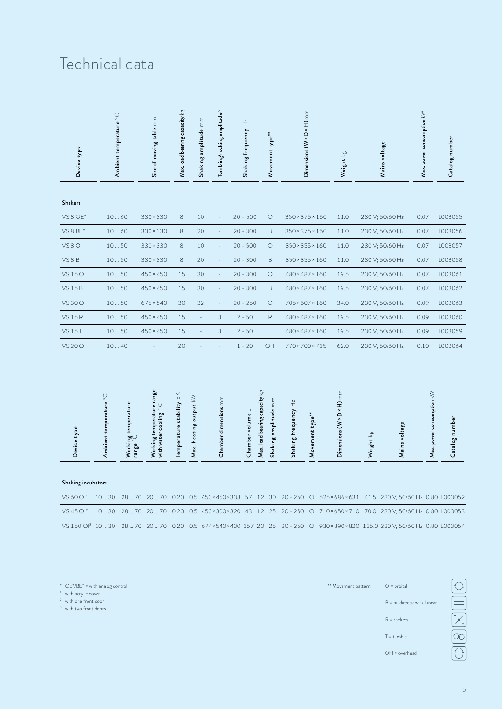### Technical data

| Device type           | Ambient temperature °C |                                                   | Size of moving table mm                            | Max. load bearing capacity $kg$ | Shaking amplitude mm   | Tumbling/rocking amplitude <sup>°</sup> | Shaking frequency $\mathbb{H}$ z |                                 | Movement type**      | Dimensions (W × D × H) mm       |                 | Weight kg                                       |           | Mains voltage                     | Max. power consumption kW  | Catalog number |
|-----------------------|------------------------|---------------------------------------------------|----------------------------------------------------|---------------------------------|------------------------|-----------------------------------------|----------------------------------|---------------------------------|----------------------|---------------------------------|-----------------|-------------------------------------------------|-----------|-----------------------------------|----------------------------|----------------|
| <b>Shakers</b>        |                        |                                                   |                                                    |                                 |                        |                                         |                                  |                                 |                      |                                 |                 |                                                 |           |                                   |                            |                |
| VS 8 OE*              | 1060                   |                                                   | 330 × 330                                          | $\,8\,$                         | 10                     |                                         | $20 - 500$                       |                                 | $\bigcirc$           | 350 × 375 × 160                 |                 | 11.0                                            |           | 230 V; 50/60 Hz                   | 0.07                       | L003055        |
| VS 8 BE*              | 1060                   |                                                   | 330×330                                            | 8                               | 20                     | $\bar{\phantom{a}}$                     | $20 - 300$                       |                                 | $\mathsf B$          | 350 × 375 × 160                 |                 | 11.0                                            |           | 230 V; 50/60 Hz                   | 0.07                       | L003056        |
| VS8O                  | 1050                   |                                                   | 330 × 330                                          | $\,8\,$                         | 10                     | ä,                                      | $20 - 500$                       |                                 | $\bigcirc$           | 350 × 355 × 160                 |                 | 11.0                                            |           | 230 V; 50/60 Hz                   | 0.07                       | L003057        |
| VS8B                  | 1050                   |                                                   | 330×330                                            | $\,8\,$                         | 20                     | ä,                                      | $20 - 300$                       |                                 | $\mathsf B$          | 350 × 355 × 160                 |                 | 11.0                                            |           | 230 V; 50/60 Hz                   | 0.07                       | L003058        |
| VS 15 O               | 1050                   |                                                   | $450 \times 450$                                   | 15                              | 30                     | ä,                                      | $20 - 300$                       |                                 | $\bigcirc$           | 480 × 487 × 160                 |                 | 19.5                                            |           | 230 V; 50/60 Hz                   | 0.07                       | L003061        |
| <b>VS 15 B</b>        | 1050                   |                                                   | $450 \times 450$                                   | 15                              | 30                     |                                         | $20 - 300$                       |                                 | $\mathsf B$          | 480 × 487 × 160                 |                 | 19.5                                            |           | 230 V; 50/60 Hz                   | 0.07                       | L003062        |
| VS 30 O               | 1050                   |                                                   | $676 \times 540$                                   | 30                              | 32                     | $\bar{\phantom{a}}$                     | $20 - 250$                       |                                 | $\circ$              | $705 \times 607 \times 160$     |                 | 34.0                                            |           | 230 V; 50/60 Hz                   | 0.09                       | L003063        |
| <b>VS 15 R</b>        | 1050                   |                                                   | $450 \times 450$                                   | 15                              |                        | $\ensuremath{\mathsf{3}}$               | $2 - 50$                         |                                 | $\mathsf{R}$         | 480 × 487 × 160                 |                 | 19.5                                            |           | 230 V; 50/60 Hz                   | 0.09                       | L003060        |
| <b>VS 15 T</b>        | 1050                   |                                                   | $450 \times 450$                                   | 15                              |                        | 3                                       | $2 - 50$                         |                                 | $\top$               | 480 × 487 × 160                 |                 | 19.5                                            |           | 230 V; 50/60 Hz                   | 0.09                       | L003059        |
| <b>VS 20 OH</b>       | 1040                   |                                                   |                                                    | 20                              |                        |                                         | $1 - 20$                         |                                 | OH                   | 770 × 700 × 715                 |                 | 62.0                                            |           | 230 V; 50/60 Hz                   | 0.10                       | L003064        |
| Device type           | Ambient temperature °C | Working temperature<br>range $^{\circ}\mathbb{C}$ | Working temperature range<br>with water cooling °C | Temperature stability $\pm$ K   | Max. heating output kW | Chamber dimensions mm                   | Chamber volume L                 | Max. load bearing capacity $kg$ | Shaking amplitude mm | Shaking frequency $\mathsf{Hz}$ | Movement type** | Dimensions (W × D × H) mm                       | Weight kg | Mains voltage                     | Max. power consumption $k$ | Catalog number |
| Shaking incubators    |                        |                                                   |                                                    |                                 |                        |                                         |                                  |                                 |                      |                                 |                 |                                                 |           |                                   |                            |                |
| VS 60 OI <sup>1</sup> | 1030                   |                                                   |                                                    |                                 |                        | 2870 2070 0.20 0.5 450×450×338 57 12 30 |                                  |                                 |                      | $20 - 250$                      |                 | O 525×686×631 41.5 230 V; 50/60 Hz 0.80 L003052 |           |                                   |                            |                |
| VS 45 Ol <sup>2</sup> | 1030                   | 2870                                              | 2070                                               | 0.20                            |                        | 0.5 450 × 300 × 320 43 12               |                                  |                                 | 25                   | $20 - 250$                      | $\circ$         | 710×650×710                                     |           | 70.0 230 V; 50/60 Hz 0.80 L003053 |                            |                |

VS 150 OI3 10 ... 30 28 ... 70 20 ... 70 0.20 0.5 674×540×430 157 20 25 20 - 250 O 930×890×820 135.0 230 V; 50/60 Hz 0.80 L003054

\* OE\*/BE\* = with analog control

<sup>1</sup> with acrylic cover

<sup>2</sup> with one front door

<sup>3</sup> with two front doors

\*\* Movement pattern: O = orbital B = bi-directional / Linear R = rockers T = tumble

OH = overhead

 $\fbox{38.1}\quad\text{44.1}\quad\text{55.1}\quad\text{66.1}\quad\text{67.1}\quad\text{67.1}\quad\text{68.1}\quad\text{67.1}\quad\text{68.1}\quad\text{69.1}\quad\text{69.1}\quad\text{69.1}\quad\text{69.1}\quad\text{69.1}\quad\text{69.1}\quad\text{69.1}\quad\text{69.1}\quad\text{69.1}\quad\text{69.1}\quad\text{69.1}\quad\text{69.1}\quad\text{69.1}\quad\text{69.1}\quad\text{69.1}\quad\text{6$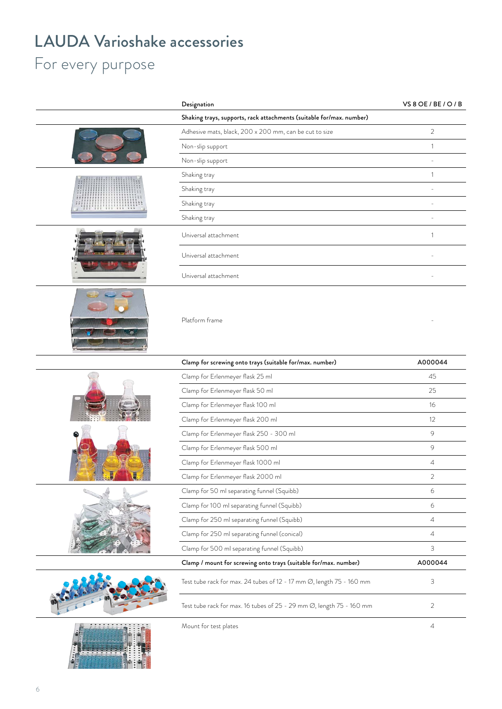## LAUDA Varioshake accessories

## For every purpose

|                            | Designation                                                                       | VS 8 OE / BE / O / B |  |  |
|----------------------------|-----------------------------------------------------------------------------------|----------------------|--|--|
|                            | Shaking trays, supports, rack attachments (suitable for/max. number)              |                      |  |  |
|                            | Adhesive mats, black, 200 x 200 mm, can be cut to size                            | $\overline{2}$       |  |  |
|                            | Non-slip support                                                                  | $\sim$               |  |  |
|                            | Non-slip support                                                                  | $\sim$               |  |  |
|                            | Shaking tray                                                                      | $\overline{1}$       |  |  |
|                            | Shaking tray                                                                      | $\sim$               |  |  |
| <u>'HI'III'III'III'III</u> | Shaking tray                                                                      | $\sim$               |  |  |
|                            | Shaking tray                                                                      | $\sim$               |  |  |
|                            | Universal attachment                                                              |                      |  |  |
|                            | Universal attachment                                                              | $\overline{a}$       |  |  |
|                            | Universal attachment                                                              | $\overline{a}$       |  |  |
|                            | Platform frame                                                                    |                      |  |  |
|                            | Clamp for screwing onto trays (suitable for/max. number)                          | A000044              |  |  |
|                            | Clamp for Erlenmeyer flask 25 ml                                                  | 45                   |  |  |
|                            | Clamp for Erlenmeyer flask 50 ml                                                  | 25                   |  |  |
|                            | Clamp for Erlenmeyer flask 100 ml                                                 | 16                   |  |  |
|                            | Clamp for Erlenmeyer flask 200 ml                                                 | 12                   |  |  |
|                            | Clamp for Erlenmeyer flask 250 - 300 ml                                           | $\circ$              |  |  |
|                            | Clamp for Erlenmeyer flask 500 ml                                                 | 9                    |  |  |
|                            | Clamp for Erlenmeyer flask 1000 ml                                                | $\overline{4}$       |  |  |
| $\mathcal{A}$              | Clamp for Erlenmeyer flask 2000 ml                                                | $\sqrt{2}$           |  |  |
|                            | Clamp for 50 ml separating funnel (Squibb)                                        | 6                    |  |  |
|                            | Clamp for 100 ml separating funnel (Squibb)                                       | 6                    |  |  |
|                            | Clamp for 250 ml separating funnel (Squibb)                                       | $\overline{4}$       |  |  |
|                            | Clamp for 250 ml separating funnel (conical)                                      | $\overline{4}$       |  |  |
|                            | Clamp for 500 ml separating funnel (Squibb)                                       | $\mathcal{S}$        |  |  |
|                            | Clamp / mount for screwing onto trays (suitable for/max. number)                  | A000044              |  |  |
|                            | Test tube rack for max. 24 tubes of 12 - 17 mm Ø, length 75 - 160 mm              | $\mathbf{3}$         |  |  |
|                            | Test tube rack for max. 16 tubes of 25 - 29 mm $\varnothing$ , length 75 - 160 mm | 2                    |  |  |
| .<br><b>Allia</b>          | Mount for test plates                                                             | $\overline{4}$       |  |  |

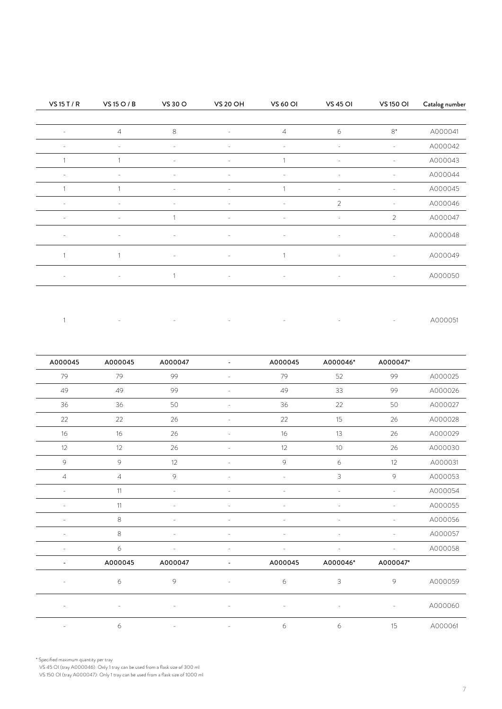| Catalog number | <b>VS 150 OI</b> | <b>VS 45 OI</b>     | <b>VS 60 OI</b>          | <b>VS 20 OH</b> | VS 30 O    | VS 15 O / B    | VS 15 T / R  |
|----------------|------------------|---------------------|--------------------------|-----------------|------------|----------------|--------------|
| A000041        | $8*$             | 6                   | $\overline{4}$           | $\sim$          | 8          | $\overline{4}$ | $\sim$       |
| A000042        | $\sim$           | $\sim$              | $\sim$                   | $\sim$          | $\sim$     | $\sim$         | $\sim$       |
| A000043        | $\sim$           | $\sim$              |                          | $\sim$          | $\sim$     |                |              |
| A000044        | $\sim$           | $\sim$              | $\overline{\phantom{0}}$ | $\sim$          | $\sim$     | $\sim$         | $\sim$       |
| A000045        | $\sim$           | $\sim$              |                          | $\sim$          | $\sim$     |                |              |
| A000046        | $\sim$ $-$       | 2                   | $\alpha$ = $\alpha$      | $\sim$ $-$      | $\sim$ $-$ | $\sim$ $-$     | $\sim$       |
| A000047        | $\overline{2}$   | $\sim$              | $\sim$                   | $\sim$          |            | $\sim$         | $\sim$       |
| A000048        | $\sim$           | $\alpha$ = $\alpha$ | $\sim$                   | $\sim$ $-$      | $\sim$     | $\sim$         | $\sim$       |
| A000049        | $\sim$           | $\sim$ $-$          |                          | $\sim$ $ \sim$  | $\sim$     | $\mathbf{1}$   | $\mathbf{1}$ |
| A000050        | $\sim 10^{-11}$  | $\sim$              | $\sim$                   | $\sim$ $-$      |            | $\sim$ $-$     | $\sim$       |

|  |  |  | 그 그 사이에 대한 사이트 그 사이트 그 사이트 그 사이트 그 사이트 그 사이트 그 사이트 그 사이트 그 사이트 그 사이트 그 사이트 그 사이트 그 사이트 그 사이트 그 사이트 그 사이트 그 사이트 | A000051 |
|--|--|--|----------------------------------------------------------------------------------------------------------------|---------|
|  |  |  |                                                                                                                |         |

|         | A000047* | A000046*      | A000045                  | $\sim$         | A000047                  | A000045                  | A000045        |
|---------|----------|---------------|--------------------------|----------------|--------------------------|--------------------------|----------------|
| A000025 | 99       | 52            | 79                       | $\sim$         | 99                       | 79                       | 79             |
| A000026 | 99       | 33            | 49                       | $\sim$         | 99                       | 49                       | 49             |
| A000027 | 50       | 22            | 36                       | $\sim$         | 50                       | 36                       | 36             |
| A000028 | 26       | 15            | 22                       | $\sim$         | 26                       | 22                       | 22             |
| A000029 | 26       | 13            | 16                       | $\sim$         | 26                       | 16                       | 16             |
| A000030 | 26       | 10            | 12                       | $\sim$         | 26                       | $12 \overline{ }$        | 12             |
| A000031 | 12       | 6             | 9                        | $\sim$         | 12                       | 9                        | 9              |
| A000053 | 9        | $\mathcal{S}$ | $\sim$                   | $\sim$         | 9                        | $\overline{4}$           | $\overline{4}$ |
| A000054 | $\sim$   | $\sim$        | $\overline{a}$           | $\sim$         | $\sim$                   | 11                       | $\sim$         |
| A000055 | $\sim$   | $\sim$        | $\overline{\phantom{0}}$ | $\sim$         | $\sim$                   | 11                       | $\sim$         |
| A000056 | $\sim$   | $\sim$        | $\sim$                   | $\sim$         | $\sim$                   | $\,8\,$                  | $\sim$ $-$     |
| A000057 | $\sim$   | $\sim$        | $\sim$                   | $\overline{a}$ | $\sim$                   | 8                        | $\sim$         |
| A000058 | $\sim$   | $\sim$        | $\sim$                   | $\sim$         | $\sim$                   | 6                        | $\sim$         |
|         | A000047* | A000046*      | A000045                  | $\sim$         | A000047                  | A000045                  | $\sim$         |
| A000059 | 9        | $\mathbf{3}$  | 6                        |                | 9                        | 6                        | $\sim$         |
| A000060 | $\sim$   |               |                          |                | $\overline{\phantom{a}}$ | $\overline{\phantom{a}}$ | $\sim$         |
| A000061 | 15       | 6             | 6                        | $\sim$         | $\sim$                   | 6                        | $\sim$         |
|         |          |               |                          |                |                          |                          |                |

\* Specified maximum quantity per tray

VS 45 OI (tray A000046): Only 1 tray can be used from a flask size of 300 ml

VS 150 OI (tray A000047): Only 1 tray can be used from a flask size of 1000 ml